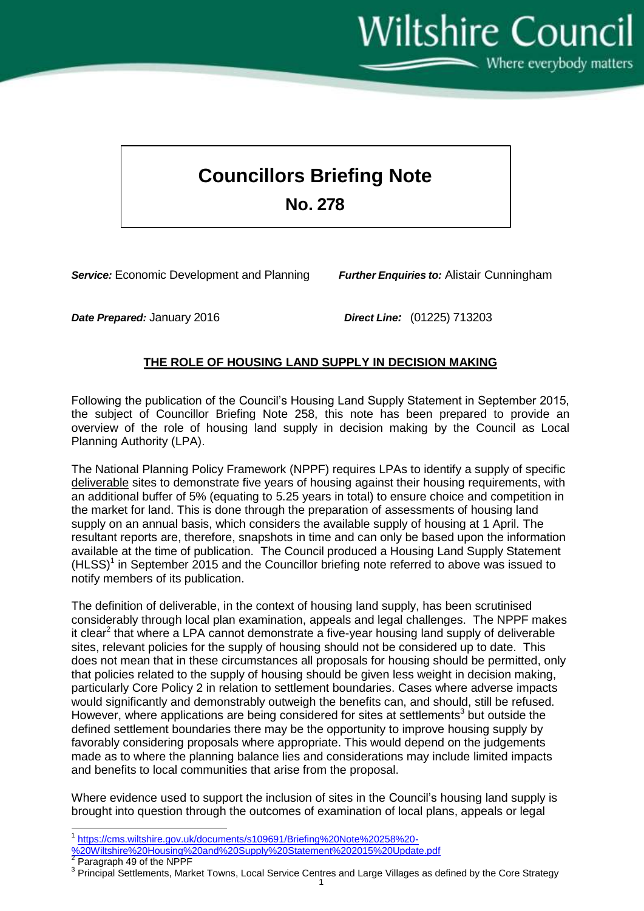Wiltshire Council Where everybody matters

## **Councillors Briefing Note No. 278**

*Service:* Economic Development and Planning *Further Enquiries to:* Alistair Cunningham

*Date Prepared:* January 2016 *Direct Line:* (01225) 713203

## **THE ROLE OF HOUSING LAND SUPPLY IN DECISION MAKING**

Following the publication of the Council's Housing Land Supply Statement in September 2015, the subject of Councillor Briefing Note 258, this note has been prepared to provide an overview of the role of housing land supply in decision making by the Council as Local Planning Authority (LPA).

The National Planning Policy Framework (NPPF) requires LPAs to identify a supply of specific deliverable sites to demonstrate five years of housing against their housing requirements, with an additional buffer of 5% (equating to 5.25 years in total) to ensure choice and competition in the market for land. This is done through the preparation of assessments of housing land supply on an annual basis, which considers the available supply of housing at 1 April. The resultant reports are, therefore, snapshots in time and can only be based upon the information available at the time of publication. The Council produced a Housing Land Supply Statement  $(HLSS)^1$  in September 2015 and the Councillor briefing note referred to above was issued to notify members of its publication.

The definition of deliverable, in the context of housing land supply, has been scrutinised considerably through local plan examination, appeals and legal challenges. The NPPF makes it clear<sup>2</sup> that where a LPA cannot demonstrate a five-year housing land supply of deliverable sites, relevant policies for the supply of housing should not be considered up to date. This does not mean that in these circumstances all proposals for housing should be permitted, only that policies related to the supply of housing should be given less weight in decision making, particularly Core Policy 2 in relation to settlement boundaries. Cases where adverse impacts would significantly and demonstrably outweigh the benefits can, and should, still be refused. However, where applications are being considered for sites at settlements<sup>3</sup> but outside the defined settlement boundaries there may be the opportunity to improve housing supply by favorably considering proposals where appropriate. This would depend on the judgements made as to where the planning balance lies and considerations may include limited impacts and benefits to local communities that arise from the proposal.

Where evidence used to support the inclusion of sites in the Council's housing land supply is brought into question through the outcomes of examination of local plans, appeals or legal

1

 $\overline{a}$ 1 [https://cms.wiltshire.gov.uk/documents/s109691/Briefing%20Note%20258%20-](https://cms.wiltshire.gov.uk/documents/s109691/Briefing%20Note%20258%20-%20Wiltshire%20Housing%20and%20Supply%20Statement%202015%20Update.pdf)

[<sup>%20</sup>Wiltshire%20Housing%20and%20Supply%20Statement%202015%20Update.pdf](https://cms.wiltshire.gov.uk/documents/s109691/Briefing%20Note%20258%20-%20Wiltshire%20Housing%20and%20Supply%20Statement%202015%20Update.pdf)

<sup>2</sup> Paragraph 49 of the NPPF

 $^3$  Principal Settlements, Market Towns, Local Service Centres and Large Villages as defined by the Core Strategy